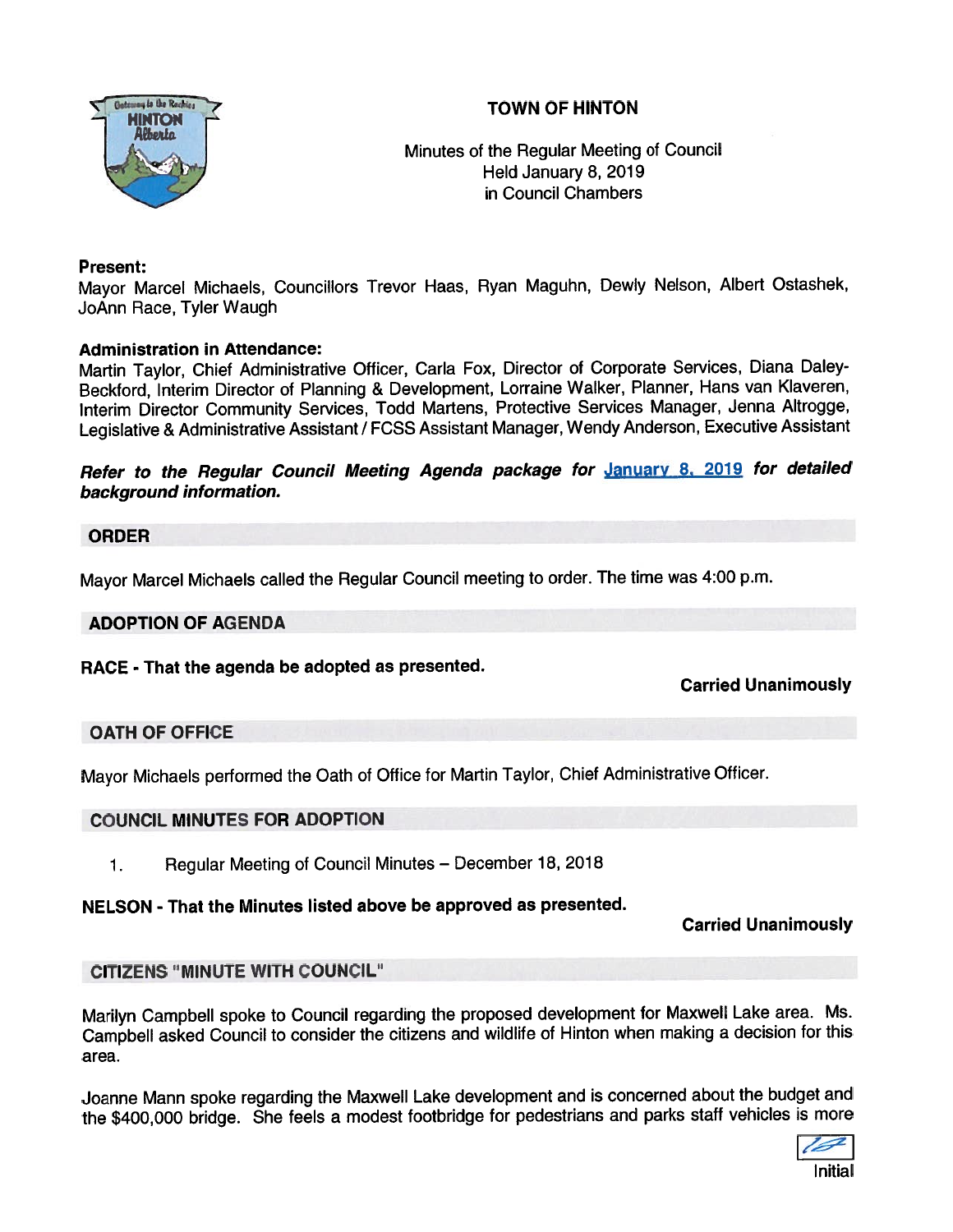# TOWN OF HINTON



Minutes of the Regular Meeting of Council Held January 8, 2019 in Council Chambers

# Present:

Mayor Marcel Michaels, Councillors Trevor Haas, Ryan Maguhn, Dewly Nelson, Albert Ostashek, JoAnn Race, Tyler Waugh

#### Administration in Attendance:

Martin Taylor, Chief Administrative Officer, Carla Fox, Director of Corporate Services, Diana Daley Beckford, Interim Director of Planning & Development, Lorraine Walker, Planner, Hans van Klaveren, Interim Director Community Services, Todd Martens, Protective Services Manager, Jenna Altrogge, Legislative & Administrative Assistant / FCSS Assistant Manager, Wendy Anderson, Executive Assistant

Refer to the Regular Council Meeting Agenda package for January 8, 2019 for detailed background information.

#### ORDER

Mayor Marcel Michaels called the Regular Council meeting to order. The time was 4:00 p.m.

#### ADOPTION OF AGENDA

RACE - That the agenda be adopted as presented.

# Carried Unanimously

# OATH OF OFFICE

Mayor Michaels performed the Oath of Office for Martin Taylor, Chief Administrative Officer.

#### COUNCIL MINUTES FOR ADOPTION

1. Regular Meeting of Council Minutes — December 18, <sup>2018</sup>

#### NELSON - That the Minutes listed above be approved as presented.

Carried Unanimously

#### CITIZENS "MINUTE WITH COUNCIL"

Marilyn Campbell spoke to Council regarding the propose<sup>d</sup> development for Maxwell Lake area. Ms. Campbell asked Council to consider the citizens and wildlife of Hinton when making <sup>a</sup> decision for this area.

Joanne Mann spoke regarding the Maxwell Lake development and is concerned about the budget and the \$400,000 bridge. She feels <sup>a</sup> modest footbridge for pedestrians and parks staff vehicles is more

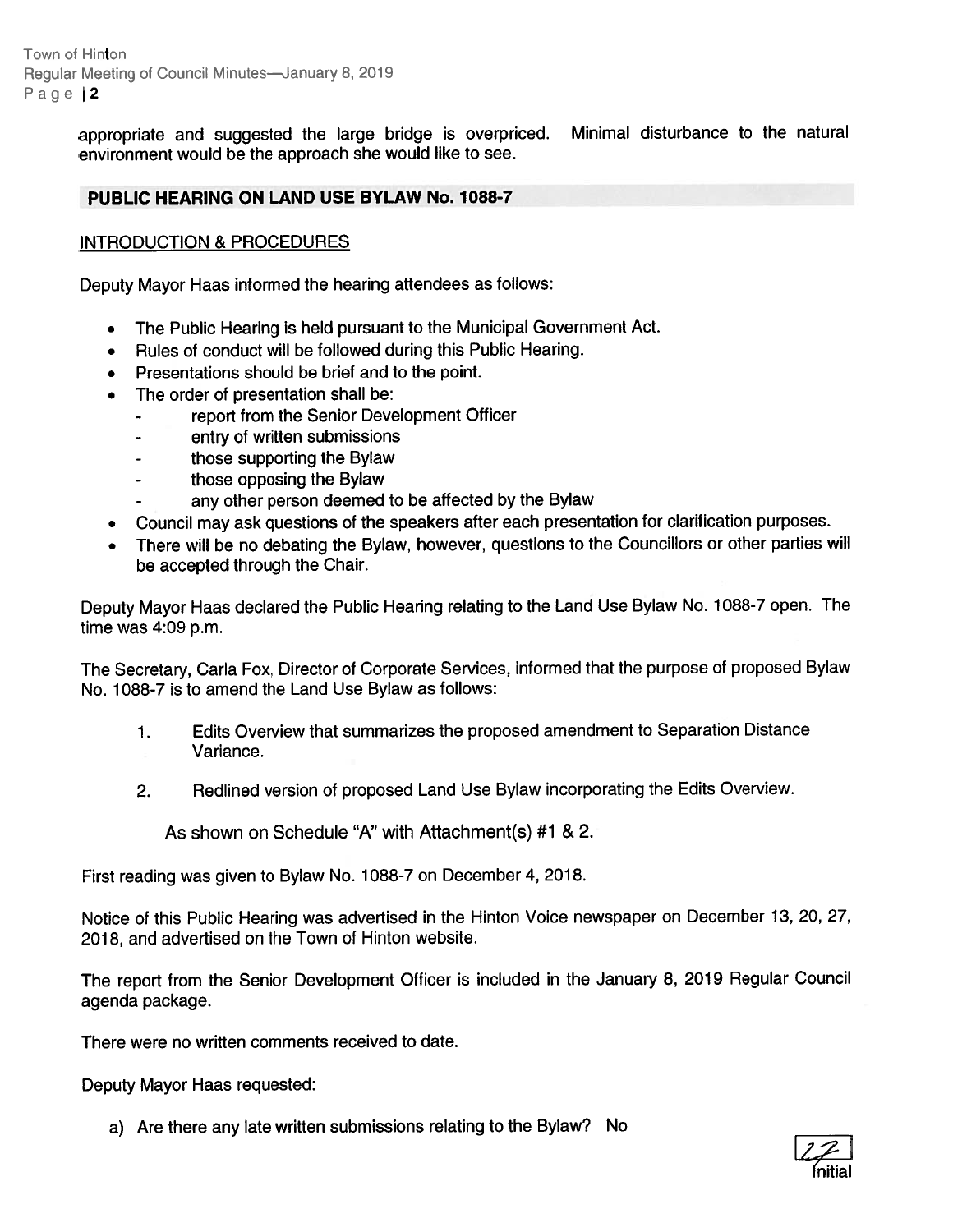Town of Hinton Regular Meeting of Council Minutes—January 8, 2019 Page 12

> appropriate and suggested the large bridge is overpriced. Minimal disturbance to the natural environment would be the approach she would like to see.

#### PUBLIC HEARING ON LAND USE BYLAW No. 1088-7

#### INTRODUCTION & PROCEDURES

Deputy Mayor Haas informed the hearing attendees as follows:

- •The Public Hearing is held pursuan<sup>t</sup> to the Municipal Government Act.
- •Rules of conduct will be followed during this Public Hearing.
- Presentations should be brief and to the point.
- • The order of presentation shall be:
	- repor<sup>t</sup> from the Senior Development Officer
	- entry of written submissions
	- those supporting the Bylaw
	- those opposing the Bylaw
	- any other person deemed to be affected by the Bylaw
- •Council may ask questions of the speakers after each presentation for clarification purposes.
- There will be no debating the Bylaw, however, questions to the Councillors or other parties will be accepted through the Chair.

Deputy Mayor Haas declared the Public Hearing relating to the Land Use Bylaw No. 1088-7 open. The time was 4:09 p.m.

The Secretary, Carla Fox, Director of Corporate Services, informed that the purpose of propose<sup>d</sup> Bylaw No. 1088-7 is to amend the Land Use Bylaw as follows:

- 1. Edits Overview that summarizes the proposed amendment to Separation Distance Variance.
- 2. Redlined version of propose<sup>d</sup> Land Use Bylaw incorporating the Edits Overview.

As shown on Schedule "A" with Attachment(s) #1 & 2.

First reading was <sup>g</sup>iven to Bylaw No. 1088-7 on December 4, 2018.

Notice of this Public Hearing was advertised in the Hinton Voice newspaper on December 13, 20, 27, 2018, and advertised on the Town of Hinton website.

The repor<sup>t</sup> from the Senior Development Officer is included in the January 8, <sup>2019</sup> Regular Council agenda package.

There were no written comments received to date.

Deputy Mayor Haas requested:

a) Are there any late written submissions relating to the Bylaw? No

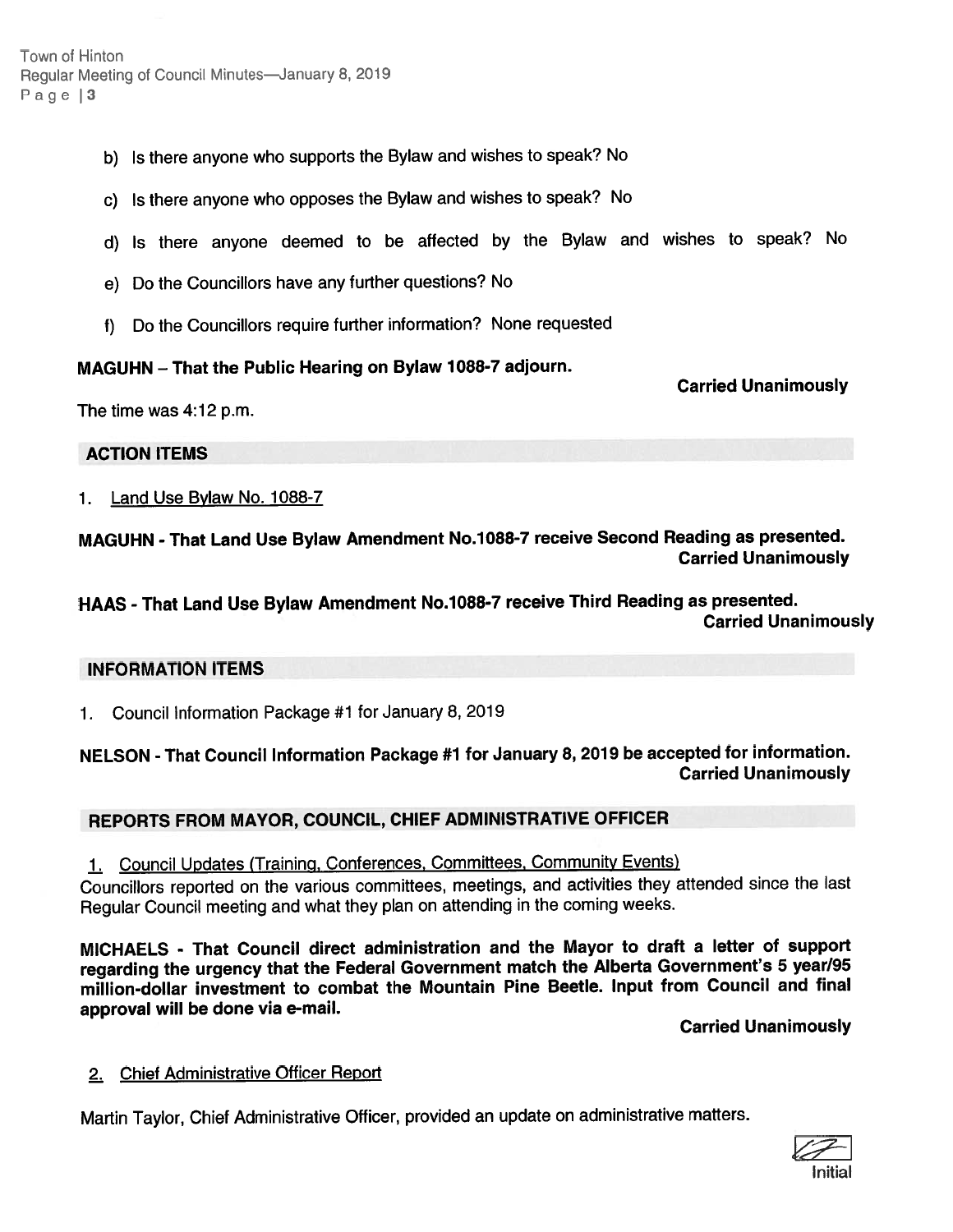Town of Hinton Regular Meeting of Council Minutes—January 8, 2019 Page  $|3$ 

- b) Is there anyone who supports the Bylaw and wishes to speak? No
- c) Is there anyone who opposes the Bylaw and wishes to speak? No
- d) Is there anyone deemed to be affected by the Bylaw and wishes to speak? No
- e) Do the Councillors have any further questions? No
- f) Do the Councillors require further information? None requested

#### MAGUHN — That the Public Hearing on Bylaw 1088-7 adjourn.

Carried Unanimously

The time was 4:12 p.m.

ACTION ITEMS

1. Land Use Bylaw No. 1088-7

MAGUHN -That Land Use Bylaw Amendment No.1088-7 receive Second Reading as presented. Carried Unanimously

HAAS - That Land Use Bylaw Amendment No.1088-7 receive Third Reading as presented. Carried Unanimously

#### INFORMATION ITEMS

1. Council Information Package #1 for January 8, 2019

# NELSON -That Council Information Package #1 for January 8, <sup>2019</sup> be accepted for information. Carried Unanimously

# REPORTS FROM MAYOR, COUNCIL, CHIEF ADMINISTRATIVE OFFICER

1. Council Updates (Training, Conferences, Committees, Community Events)

Councillors reported on the various committees, meetings, and activities they attended since the last Regular Council meeting and what they <sup>p</sup>lan on attending in the coming weeks.

MICHAELS - That Council direct administration and the Mayor to draft <sup>a</sup> letter of suppor<sup>t</sup> regarding the urgency that the Federal Government match the Alberta Government's <sup>5</sup> year/95 million-dollar investment to combat the Mountain Pine Beetle. Input from Council and final approva<sup>l</sup> will be done via e-mail.

Carried Unanimously

2. Chief Administrative Officer Report

Martin Taylor, Chief Administrative Officer, provided an update on administrative matters.